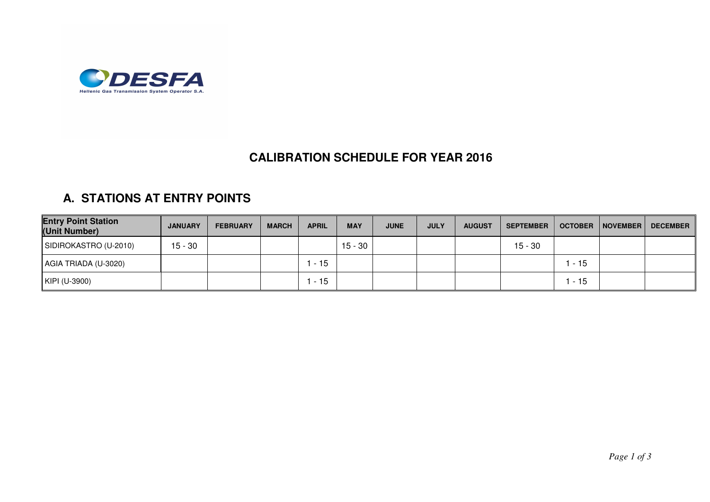

## **CALIBRATION SCHEDULE FOR YEAR 2016**

## **A. STATIONS AT ENTRY POINTS**

| <b>Entry Point Station</b><br>(Unit Number) | <b>JANUARY</b> | <b>FEBRUARY</b> | <b>MARCH</b> | <b>APRIL</b> | <b>MAY</b> | <b>JUNE</b> | <b>JULY</b> | <b>AUGUST</b> | <b>SEPTEMBER</b> | <b>OCTOBER</b> | NOVEMBER | DECEMBER |
|---------------------------------------------|----------------|-----------------|--------------|--------------|------------|-------------|-------------|---------------|------------------|----------------|----------|----------|
| SIDIROKASTRO (U-2010)                       | $15 - 30$      |                 |              |              | $15 - 30$  |             |             |               | 15 - 30          |                |          |          |
| AGIA TRIADA (U-3020)                        |                |                 |              | $-15$        |            |             |             |               |                  | - 15           |          |          |
| KIPI (U-3900)                               |                |                 |              | $-15$        |            |             |             |               |                  | - 15           |          |          |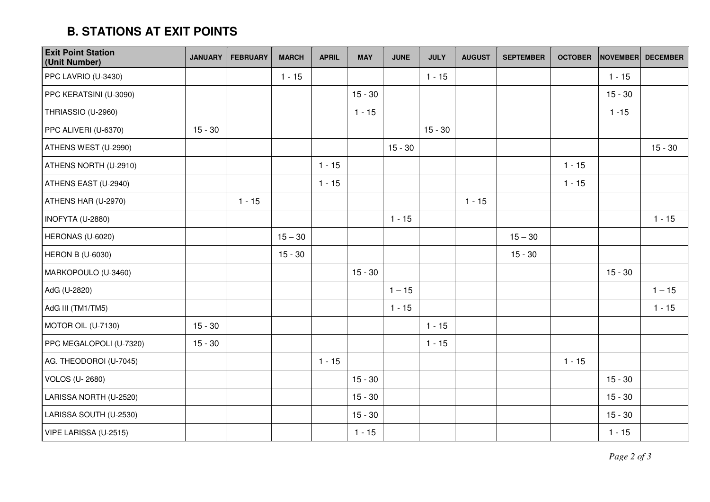## **B. STATIONS AT EXIT POINTS**

| <b>Exit Point Station</b><br>(Unit Number) | <b>JANUARY</b> | <b>FEBRUARY</b> | <b>MARCH</b> | <b>APRIL</b> | <b>MAY</b> | <b>JUNE</b> | <b>JULY</b> | <b>AUGUST</b> | <b>SEPTEMBER</b> | <b>OCTOBER</b> | <b>NOVEMBER</b> | <b>DECEMBER</b> |
|--------------------------------------------|----------------|-----------------|--------------|--------------|------------|-------------|-------------|---------------|------------------|----------------|-----------------|-----------------|
| PPC LAVRIO (U-3430)                        |                |                 | $1 - 15$     |              |            |             | $1 - 15$    |               |                  |                | $1 - 15$        |                 |
| PPC KERATSINI (U-3090)                     |                |                 |              |              | $15 - 30$  |             |             |               |                  |                | $15 - 30$       |                 |
| THRIASSIO (U-2960)                         |                |                 |              |              | $1 - 15$   |             |             |               |                  |                | $1 - 15$        |                 |
| PPC ALIVERI (U-6370)                       | $15 - 30$      |                 |              |              |            |             | $15 - 30$   |               |                  |                |                 |                 |
| ATHENS WEST (U-2990)                       |                |                 |              |              |            | $15 - 30$   |             |               |                  |                |                 | $15 - 30$       |
| ATHENS NORTH (U-2910)                      |                |                 |              | $1 - 15$     |            |             |             |               |                  | $1 - 15$       |                 |                 |
| ATHENS EAST (U-2940)                       |                |                 |              | $1 - 15$     |            |             |             |               |                  | $1 - 15$       |                 |                 |
| ATHENS HAR (U-2970)                        |                | $1 - 15$        |              |              |            |             |             | $1 - 15$      |                  |                |                 |                 |
| INOFYTA (U-2880)                           |                |                 |              |              |            | $1 - 15$    |             |               |                  |                |                 | $1 - 15$        |
| HERONAS (U-6020)                           |                |                 | $15 - 30$    |              |            |             |             |               | $15 - 30$        |                |                 |                 |
| <b>HERON B (U-6030)</b>                    |                |                 | $15 - 30$    |              |            |             |             |               | $15 - 30$        |                |                 |                 |
| MARKOPOULO (U-3460)                        |                |                 |              |              | $15 - 30$  |             |             |               |                  |                | $15 - 30$       |                 |
| AdG (U-2820)                               |                |                 |              |              |            | $1 - 15$    |             |               |                  |                |                 | $1 - 15$        |
| AdG III (TM1/TM5)                          |                |                 |              |              |            | $1 - 15$    |             |               |                  |                |                 | $1 - 15$        |
| MOTOR OIL (U-7130)                         | $15 - 30$      |                 |              |              |            |             | $1 - 15$    |               |                  |                |                 |                 |
| PPC MEGALOPOLI (U-7320)                    | $15 - 30$      |                 |              |              |            |             | $1 - 15$    |               |                  |                |                 |                 |
| AG. THEODOROI (U-7045)                     |                |                 |              | $1 - 15$     |            |             |             |               |                  | $1 - 15$       |                 |                 |
| <b>VOLOS (U-2680)</b>                      |                |                 |              |              | $15 - 30$  |             |             |               |                  |                | $15 - 30$       |                 |
| LARISSA NORTH (U-2520)                     |                |                 |              |              | $15 - 30$  |             |             |               |                  |                | $15 - 30$       |                 |
| LARISSA SOUTH (U-2530)                     |                |                 |              |              | $15 - 30$  |             |             |               |                  |                | $15 - 30$       |                 |
| VIPE LARISSA (U-2515)                      |                |                 |              |              | $1 - 15$   |             |             |               |                  |                | $1 - 15$        |                 |